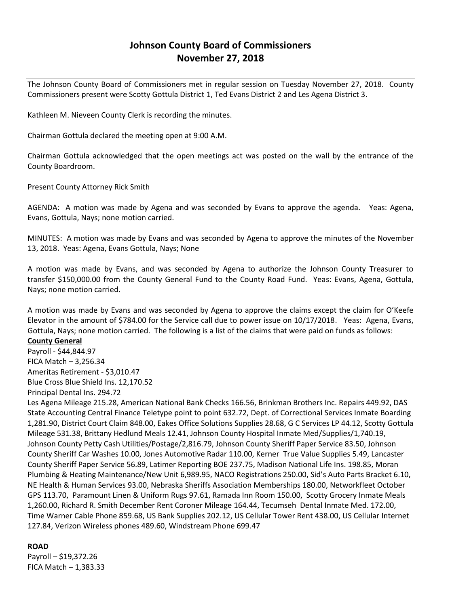# **Johnson County Board of Commissioners November 27, 2018**

The Johnson County Board of Commissioners met in regular session on Tuesday November 27, 2018. County Commissioners present were Scotty Gottula District 1, Ted Evans District 2 and Les Agena District 3.

Kathleen M. Nieveen County Clerk is recording the minutes.

Chairman Gottula declared the meeting open at 9:00 A.M.

Chairman Gottula acknowledged that the open meetings act was posted on the wall by the entrance of the County Boardroom.

Present County Attorney Rick Smith

AGENDA: A motion was made by Agena and was seconded by Evans to approve the agenda. Yeas: Agena, Evans, Gottula, Nays; none motion carried.

MINUTES: A motion was made by Evans and was seconded by Agena to approve the minutes of the November 13, 2018. Yeas: Agena, Evans Gottula, Nays; None

A motion was made by Evans, and was seconded by Agena to authorize the Johnson County Treasurer to transfer \$150,000.00 from the County General Fund to the County Road Fund. Yeas: Evans, Agena, Gottula, Nays; none motion carried.

A motion was made by Evans and was seconded by Agena to approve the claims except the claim for O'Keefe Elevator in the amount of \$784.00 for the Service call due to power issue on 10/17/2018. Yeas: Agena, Evans, Gottula, Nays; none motion carried. The following is a list of the claims that were paid on funds as follows:

## **County General**

Payroll - \$44,844.97 FICA Match – 3,256.34 Ameritas Retirement - \$3,010.47

Blue Cross Blue Shield Ins. 12,170.52

Principal Dental Ins. 294.72

Les Agena Mileage 215.28, American National Bank Checks 166.56, Brinkman Brothers Inc. Repairs 449.92, DAS State Accounting Central Finance Teletype point to point 632.72, Dept. of Correctional Services Inmate Boarding 1,281.90, District Court Claim 848.00, Eakes Office Solutions Supplies 28.68, G C Services LP 44.12, Scotty Gottula Mileage 531.38, Brittany Hedlund Meals 12.41, Johnson County Hospital Inmate Med/Supplies/1,740.19, Johnson County Petty Cash Utilities/Postage/2,816.79, Johnson County Sheriff Paper Service 83.50, Johnson County Sheriff Car Washes 10.00, Jones Automotive Radar 110.00, Kerner True Value Supplies 5.49, Lancaster County Sheriff Paper Service 56.89, Latimer Reporting BOE 237.75, Madison National Life Ins. 198.85, Moran Plumbing & Heating Maintenance/New Unit 6,989.95, NACO Registrations 250.00, Sid's Auto Parts Bracket 6.10, NE Health & Human Services 93.00, Nebraska Sheriffs Association Memberships 180.00, Networkfleet October GPS 113.70, Paramount Linen & Uniform Rugs 97.61, Ramada Inn Room 150.00, Scotty Grocery Inmate Meals 1,260.00, Richard R. Smith December Rent Coroner Mileage 164.44, Tecumseh Dental Inmate Med. 172.00, Time Warner Cable Phone 859.68, US Bank Supplies 202.12, US Cellular Tower Rent 438.00, US Cellular Internet 127.84, Verizon Wireless phones 489.60, Windstream Phone 699.47

### **ROAD**

Payroll – \$19,372.26 FICA Match  $-1,383.33$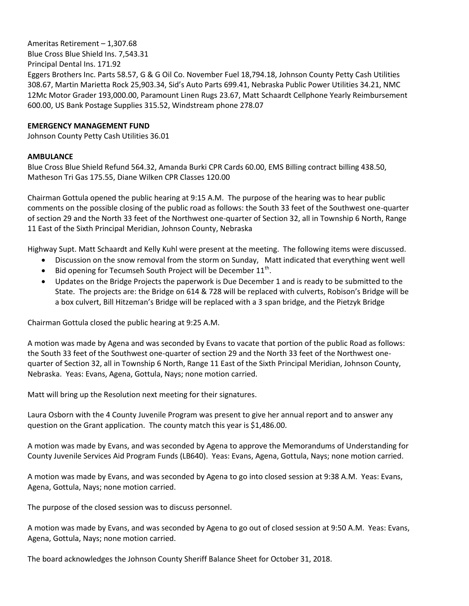Ameritas Retirement – 1,307.68 Blue Cross Blue Shield Ins. 7,543.31 Principal Dental Ins. 171.92 Eggers Brothers Inc. Parts 58.57, G & G Oil Co. November Fuel 18,794.18, Johnson County Petty Cash Utilities 308.67, Martin Marietta Rock 25,903.34, Sid's Auto Parts 699.41, Nebraska Public Power Utilities 34.21, NMC 12Mc Motor Grader 193,000.00, Paramount Linen Rugs 23.67, Matt Schaardt Cellphone Yearly Reimbursement 600.00, US Bank Postage Supplies 315.52, Windstream phone 278.07

#### **EMERGENCY MANAGEMENT FUND**

Johnson County Petty Cash Utilities 36.01

#### **AMBULANCE**

Blue Cross Blue Shield Refund 564.32, Amanda Burki CPR Cards 60.00, EMS Billing contract billing 438.50, Matheson Tri Gas 175.55, Diane Wilken CPR Classes 120.00

Chairman Gottula opened the public hearing at 9:15 A.M. The purpose of the hearing was to hear public comments on the possible closing of the public road as follows: the South 33 feet of the Southwest one-quarter of section 29 and the North 33 feet of the Northwest one-quarter of Section 32, all in Township 6 North, Range 11 East of the Sixth Principal Meridian, Johnson County, Nebraska

Highway Supt. Matt Schaardt and Kelly Kuhl were present at the meeting. The following items were discussed.

- Discussion on the snow removal from the storm on Sunday, Matt indicated that everything went well
- $\bullet$  Bid opening for Tecumseh South Project will be December 11<sup>th</sup>.
- Updates on the Bridge Projects the paperwork is Due December 1 and is ready to be submitted to the State. The projects are: the Bridge on 614 & 728 will be replaced with culverts, Robison's Bridge will be a box culvert, Bill Hitzeman's Bridge will be replaced with a 3 span bridge, and the Pietzyk Bridge

Chairman Gottula closed the public hearing at 9:25 A.M.

A motion was made by Agena and was seconded by Evans to vacate that portion of the public Road as follows: the South 33 feet of the Southwest one-quarter of section 29 and the North 33 feet of the Northwest onequarter of Section 32, all in Township 6 North, Range 11 East of the Sixth Principal Meridian, Johnson County, Nebraska. Yeas: Evans, Agena, Gottula, Nays; none motion carried.

Matt will bring up the Resolution next meeting for their signatures.

Laura Osborn with the 4 County Juvenile Program was present to give her annual report and to answer any question on the Grant application. The county match this year is \$1,486.00.

A motion was made by Evans, and was seconded by Agena to approve the Memorandums of Understanding for County Juvenile Services Aid Program Funds (LB640). Yeas: Evans, Agena, Gottula, Nays; none motion carried.

A motion was made by Evans, and was seconded by Agena to go into closed session at 9:38 A.M. Yeas: Evans, Agena, Gottula, Nays; none motion carried.

The purpose of the closed session was to discuss personnel.

A motion was made by Evans, and was seconded by Agena to go out of closed session at 9:50 A.M. Yeas: Evans, Agena, Gottula, Nays; none motion carried.

The board acknowledges the Johnson County Sheriff Balance Sheet for October 31, 2018.